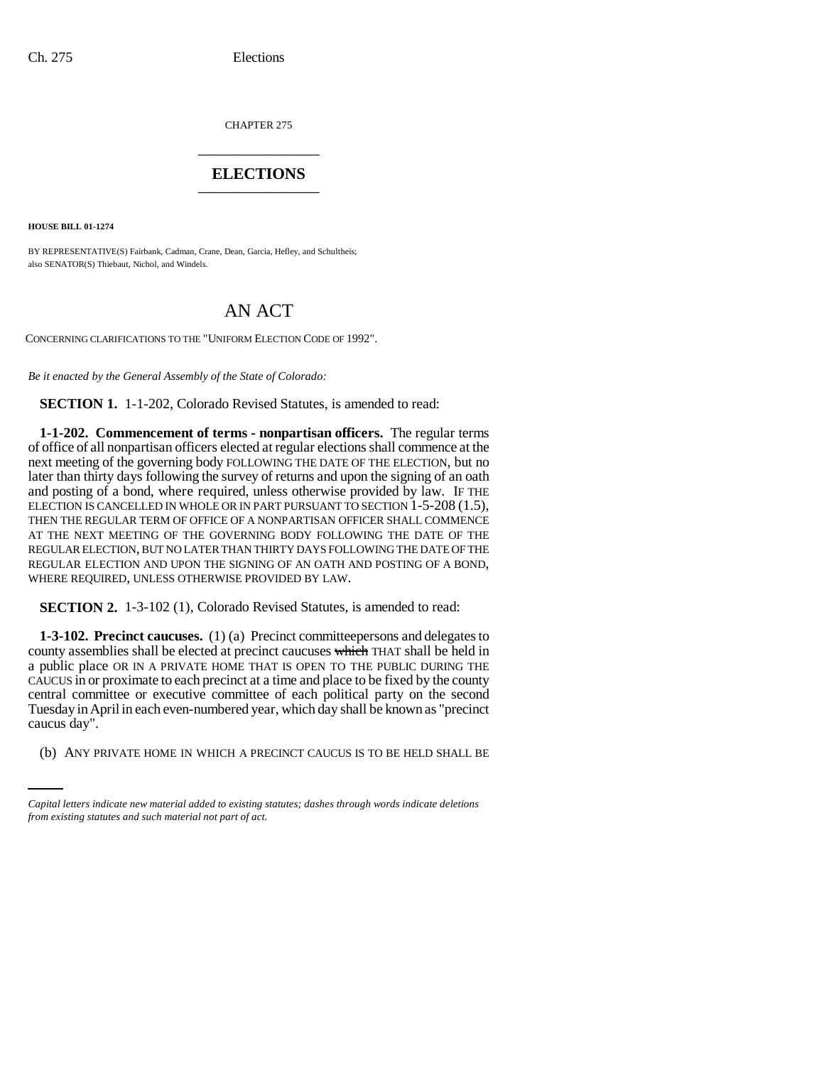CHAPTER 275 \_\_\_\_\_\_\_\_\_\_\_\_\_\_\_

# **ELECTIONS** \_\_\_\_\_\_\_\_\_\_\_\_\_\_\_

**HOUSE BILL 01-1274**

BY REPRESENTATIVE(S) Fairbank, Cadman, Crane, Dean, Garcia, Hefley, and Schultheis; also SENATOR(S) Thiebaut, Nichol, and Windels.

# AN ACT

CONCERNING CLARIFICATIONS TO THE "UNIFORM ELECTION CODE OF 1992".

*Be it enacted by the General Assembly of the State of Colorado:*

**SECTION 1.** 1-1-202, Colorado Revised Statutes, is amended to read:

**1-1-202. Commencement of terms - nonpartisan officers.** The regular terms of office of all nonpartisan officers elected at regular elections shall commence at the next meeting of the governing body FOLLOWING THE DATE OF THE ELECTION, but no later than thirty days following the survey of returns and upon the signing of an oath and posting of a bond, where required, unless otherwise provided by law. IF THE ELECTION IS CANCELLED IN WHOLE OR IN PART PURSUANT TO SECTION 1-5-208 (1.5), THEN THE REGULAR TERM OF OFFICE OF A NONPARTISAN OFFICER SHALL COMMENCE AT THE NEXT MEETING OF THE GOVERNING BODY FOLLOWING THE DATE OF THE REGULAR ELECTION, BUT NO LATER THAN THIRTY DAYS FOLLOWING THE DATE OF THE REGULAR ELECTION AND UPON THE SIGNING OF AN OATH AND POSTING OF A BOND, WHERE REQUIRED, UNLESS OTHERWISE PROVIDED BY LAW.

**SECTION 2.** 1-3-102 (1), Colorado Revised Statutes, is amended to read:

caucus day". **1-3-102. Precinct caucuses.** (1) (a) Precinct committeepersons and delegates to county assemblies shall be elected at precinct caucuses which THAT shall be held in a public place OR IN A PRIVATE HOME THAT IS OPEN TO THE PUBLIC DURING THE CAUCUS in or proximate to each precinct at a time and place to be fixed by the county central committee or executive committee of each political party on the second Tuesday in April in each even-numbered year, which day shall be known as "precinct

(b) ANY PRIVATE HOME IN WHICH A PRECINCT CAUCUS IS TO BE HELD SHALL BE

*Capital letters indicate new material added to existing statutes; dashes through words indicate deletions from existing statutes and such material not part of act.*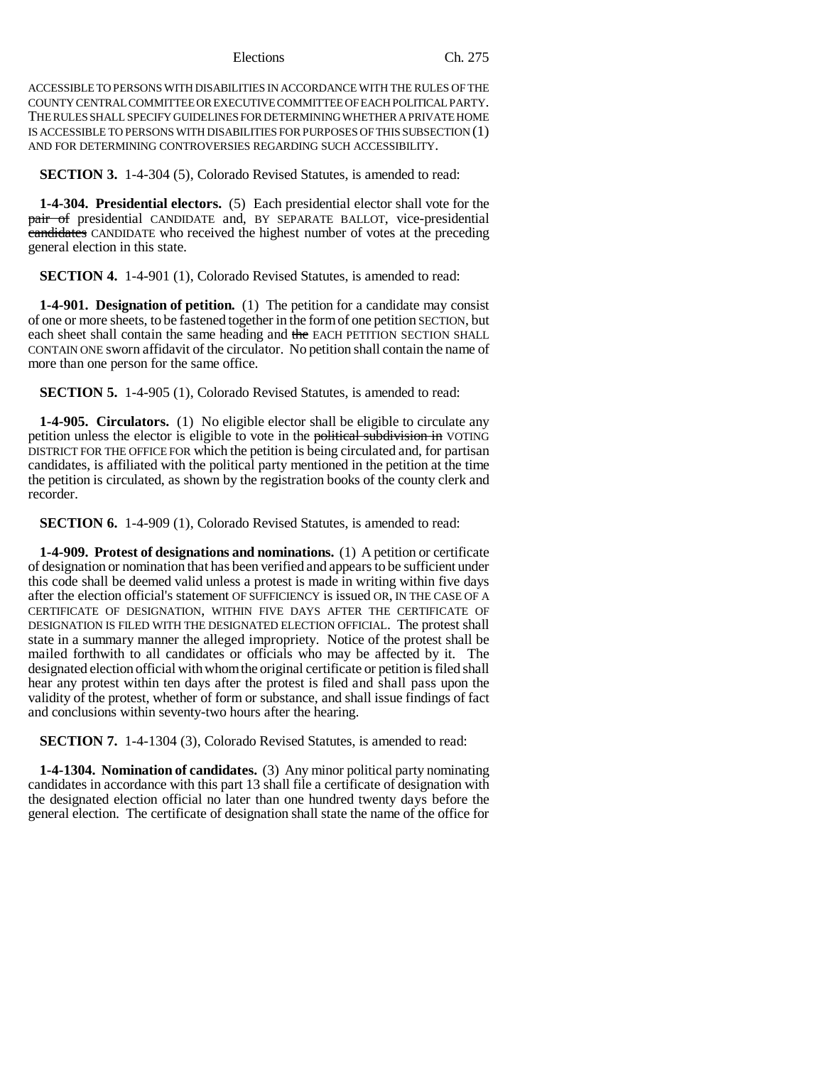#### Elections Ch. 275

ACCESSIBLE TO PERSONS WITH DISABILITIES IN ACCORDANCE WITH THE RULES OF THE COUNTY CENTRAL COMMITTEE OR EXECUTIVE COMMITTEE OF EACH POLITICAL PARTY. THE RULES SHALL SPECIFY GUIDELINES FOR DETERMINING WHETHER A PRIVATE HOME IS ACCESSIBLE TO PERSONS WITH DISABILITIES FOR PURPOSES OF THIS SUBSECTION (1) AND FOR DETERMINING CONTROVERSIES REGARDING SUCH ACCESSIBILITY.

#### **SECTION 3.** 1-4-304 (5), Colorado Revised Statutes, is amended to read:

**1-4-304. Presidential electors.** (5) Each presidential elector shall vote for the pair of presidential CANDIDATE and, BY SEPARATE BALLOT, vice-presidential candidates CANDIDATE who received the highest number of votes at the preceding general election in this state.

**SECTION 4.** 1-4-901 (1), Colorado Revised Statutes, is amended to read:

**1-4-901. Designation of petition.** (1) The petition for a candidate may consist of one or more sheets, to be fastened together in the form of one petition SECTION, but each sheet shall contain the same heading and the EACH PETITION SECTION SHALL CONTAIN ONE sworn affidavit of the circulator. No petition shall contain the name of more than one person for the same office.

**SECTION 5.** 1-4-905 (1), Colorado Revised Statutes, is amended to read:

**1-4-905. Circulators.** (1) No eligible elector shall be eligible to circulate any petition unless the elector is eligible to vote in the political subdivision in VOTING DISTRICT FOR THE OFFICE FOR which the petition is being circulated and, for partisan candidates, is affiliated with the political party mentioned in the petition at the time the petition is circulated, as shown by the registration books of the county clerk and recorder.

**SECTION 6.** 1-4-909 (1), Colorado Revised Statutes, is amended to read:

**1-4-909. Protest of designations and nominations.** (1) A petition or certificate of designation or nomination that has been verified and appears to be sufficient under this code shall be deemed valid unless a protest is made in writing within five days after the election official's statement OF SUFFICIENCY is issued OR, IN THE CASE OF A CERTIFICATE OF DESIGNATION, WITHIN FIVE DAYS AFTER THE CERTIFICATE OF DESIGNATION IS FILED WITH THE DESIGNATED ELECTION OFFICIAL. The protest shall state in a summary manner the alleged impropriety. Notice of the protest shall be mailed forthwith to all candidates or officials who may be affected by it. The designated election official with whom the original certificate or petition is filed shall hear any protest within ten days after the protest is filed and shall pass upon the validity of the protest, whether of form or substance, and shall issue findings of fact and conclusions within seventy-two hours after the hearing.

**SECTION 7.** 1-4-1304 (3), Colorado Revised Statutes, is amended to read:

**1-4-1304. Nomination of candidates.** (3) Any minor political party nominating candidates in accordance with this part 13 shall file a certificate of designation with the designated election official no later than one hundred twenty days before the general election. The certificate of designation shall state the name of the office for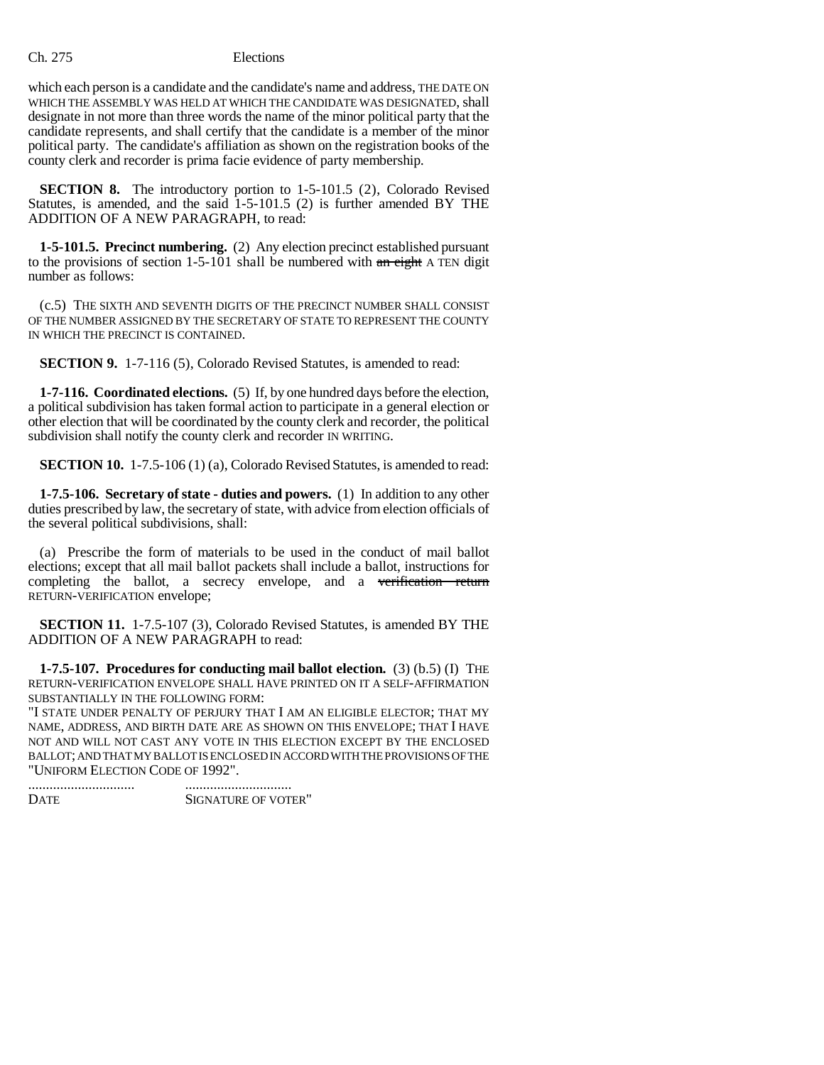## Ch. 275 Elections

which each person is a candidate and the candidate's name and address, THE DATE ON WHICH THE ASSEMBLY WAS HELD AT WHICH THE CANDIDATE WAS DESIGNATED, shall designate in not more than three words the name of the minor political party that the candidate represents, and shall certify that the candidate is a member of the minor political party. The candidate's affiliation as shown on the registration books of the county clerk and recorder is prima facie evidence of party membership.

**SECTION 8.** The introductory portion to 1-5-101.5 (2), Colorado Revised Statutes, is amended, and the said  $1-5-101.5$  (2) is further amended BY THE ADDITION OF A NEW PARAGRAPH, to read:

**1-5-101.5. Precinct numbering.** (2) Any election precinct established pursuant to the provisions of section 1-5-101 shall be numbered with  $\frac{d}{dx}$  eight A TEN digit number as follows:

(c.5) THE SIXTH AND SEVENTH DIGITS OF THE PRECINCT NUMBER SHALL CONSIST OF THE NUMBER ASSIGNED BY THE SECRETARY OF STATE TO REPRESENT THE COUNTY IN WHICH THE PRECINCT IS CONTAINED.

**SECTION 9.** 1-7-116 (5), Colorado Revised Statutes, is amended to read:

**1-7-116. Coordinated elections.** (5) If, by one hundred days before the election, a political subdivision has taken formal action to participate in a general election or other election that will be coordinated by the county clerk and recorder, the political subdivision shall notify the county clerk and recorder IN WRITING.

**SECTION 10.** 1-7.5-106 (1) (a), Colorado Revised Statutes, is amended to read:

**1-7.5-106. Secretary of state - duties and powers.** (1) In addition to any other duties prescribed by law, the secretary of state, with advice from election officials of the several political subdivisions, shall:

(a) Prescribe the form of materials to be used in the conduct of mail ballot elections; except that all mail ballot packets shall include a ballot, instructions for completing the ballot, a secrecy envelope, and a verification return RETURN-VERIFICATION envelope;

**SECTION 11.** 1-7.5-107 (3), Colorado Revised Statutes, is amended BY THE ADDITION OF A NEW PARAGRAPH to read:

**1-7.5-107. Procedures for conducting mail ballot election.** (3) (b.5) (I) THE RETURN-VERIFICATION ENVELOPE SHALL HAVE PRINTED ON IT A SELF-AFFIRMATION SUBSTANTIALLY IN THE FOLLOWING FORM:

"I STATE UNDER PENALTY OF PERJURY THAT I AM AN ELIGIBLE ELECTOR; THAT MY NAME, ADDRESS, AND BIRTH DATE ARE AS SHOWN ON THIS ENVELOPE; THAT I HAVE NOT AND WILL NOT CAST ANY VOTE IN THIS ELECTION EXCEPT BY THE ENCLOSED BALLOT; AND THAT MY BALLOT IS ENCLOSED IN ACCORD WITH THE PROVISIONS OF THE "UNIFORM ELECTION CODE OF 1992".

| <b>DATE</b> | SIGNATURE OF VOTER" |
|-------------|---------------------|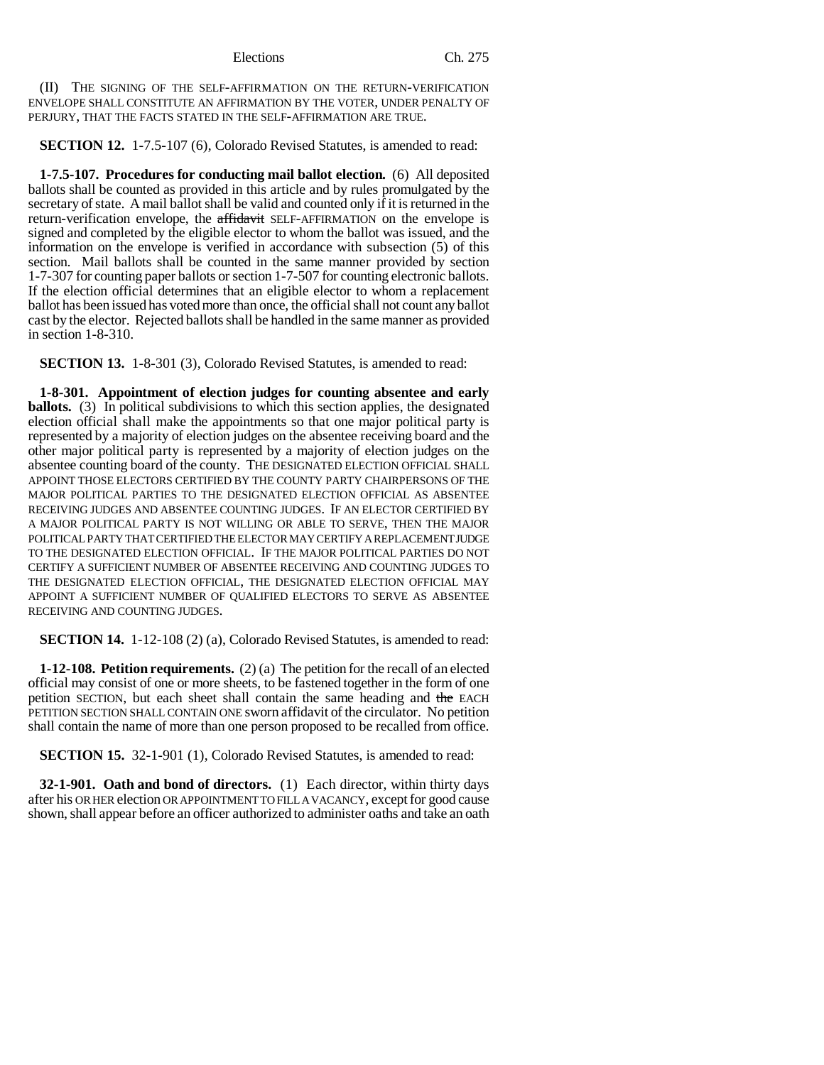Elections Ch. 275

(II) THE SIGNING OF THE SELF-AFFIRMATION ON THE RETURN-VERIFICATION ENVELOPE SHALL CONSTITUTE AN AFFIRMATION BY THE VOTER, UNDER PENALTY OF PERJURY, THAT THE FACTS STATED IN THE SELF-AFFIRMATION ARE TRUE.

**SECTION 12.** 1-7.5-107 (6), Colorado Revised Statutes, is amended to read:

**1-7.5-107. Procedures for conducting mail ballot election.** (6) All deposited ballots shall be counted as provided in this article and by rules promulgated by the secretary of state. A mail ballot shall be valid and counted only if it is returned in the return-verification envelope, the affidavit SELF-AFFIRMATION on the envelope is signed and completed by the eligible elector to whom the ballot was issued, and the information on the envelope is verified in accordance with subsection (5) of this section. Mail ballots shall be counted in the same manner provided by section 1-7-307 for counting paper ballots or section 1-7-507 for counting electronic ballots. If the election official determines that an eligible elector to whom a replacement ballot has been issued has voted more than once, the official shall not count any ballot cast by the elector. Rejected ballots shall be handled in the same manner as provided in section 1-8-310.

**SECTION 13.** 1-8-301 (3), Colorado Revised Statutes, is amended to read:

**1-8-301. Appointment of election judges for counting absentee and early ballots.** (3) In political subdivisions to which this section applies, the designated election official shall make the appointments so that one major political party is represented by a majority of election judges on the absentee receiving board and the other major political party is represented by a majority of election judges on the absentee counting board of the county. THE DESIGNATED ELECTION OFFICIAL SHALL APPOINT THOSE ELECTORS CERTIFIED BY THE COUNTY PARTY CHAIRPERSONS OF THE MAJOR POLITICAL PARTIES TO THE DESIGNATED ELECTION OFFICIAL AS ABSENTEE RECEIVING JUDGES AND ABSENTEE COUNTING JUDGES. IF AN ELECTOR CERTIFIED BY A MAJOR POLITICAL PARTY IS NOT WILLING OR ABLE TO SERVE, THEN THE MAJOR POLITICAL PARTY THAT CERTIFIED THE ELECTOR MAY CERTIFY A REPLACEMENT JUDGE TO THE DESIGNATED ELECTION OFFICIAL. IF THE MAJOR POLITICAL PARTIES DO NOT CERTIFY A SUFFICIENT NUMBER OF ABSENTEE RECEIVING AND COUNTING JUDGES TO THE DESIGNATED ELECTION OFFICIAL, THE DESIGNATED ELECTION OFFICIAL MAY APPOINT A SUFFICIENT NUMBER OF QUALIFIED ELECTORS TO SERVE AS ABSENTEE RECEIVING AND COUNTING JUDGES.

**SECTION 14.** 1-12-108 (2) (a), Colorado Revised Statutes, is amended to read:

**1-12-108. Petition requirements.** (2) (a) The petition for the recall of an elected official may consist of one or more sheets, to be fastened together in the form of one petition SECTION, but each sheet shall contain the same heading and the EACH PETITION SECTION SHALL CONTAIN ONE sworn affidavit of the circulator. No petition shall contain the name of more than one person proposed to be recalled from office.

**SECTION 15.** 32-1-901 (1), Colorado Revised Statutes, is amended to read:

**32-1-901. Oath and bond of directors.** (1) Each director, within thirty days after his OR HER election OR APPOINTMENT TO FILL A VACANCY, except for good cause shown, shall appear before an officer authorized to administer oaths and take an oath